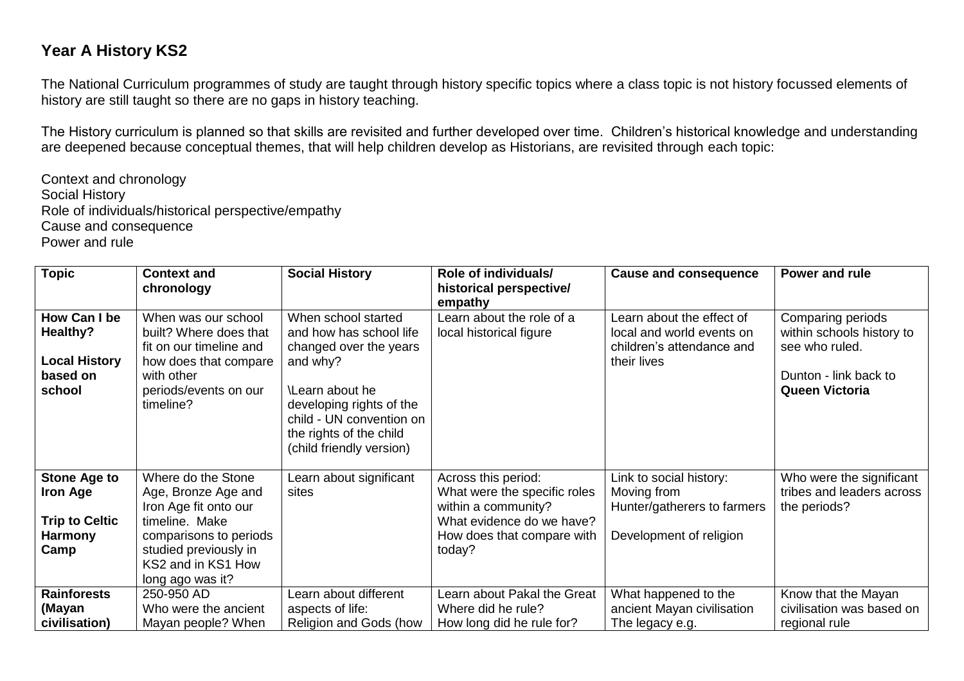## **Year A History KS2**

The National Curriculum programmes of study are taught through history specific topics where a class topic is not history focussed elements of history are still taught so there are no gaps in history teaching.

The History curriculum is planned so that skills are revisited and further developed over time. Children's historical knowledge and understanding are deepened because conceptual themes, that will help children develop as Historians, are revisited through each topic:

Context and chronology Social History Role of individuals/historical perspective/empathy Cause and consequence Power and rule

| <b>Topic</b>                                                                              | <b>Context and</b>                                                                                                                                                                | <b>Social History</b>                                                                                                                                                                                                  | Role of individuals/                                                                                                                            | <b>Cause and consequence</b>                                                                       | Power and rule                                                                                                     |
|-------------------------------------------------------------------------------------------|-----------------------------------------------------------------------------------------------------------------------------------------------------------------------------------|------------------------------------------------------------------------------------------------------------------------------------------------------------------------------------------------------------------------|-------------------------------------------------------------------------------------------------------------------------------------------------|----------------------------------------------------------------------------------------------------|--------------------------------------------------------------------------------------------------------------------|
|                                                                                           | chronology                                                                                                                                                                        |                                                                                                                                                                                                                        | historical perspective/                                                                                                                         |                                                                                                    |                                                                                                                    |
| How Can I be<br>Healthy?<br><b>Local History</b><br>based on<br>school                    | When was our school<br>built? Where does that<br>fit on our timeline and<br>how does that compare<br>with other<br>periods/events on our<br>timeline?                             | When school started<br>and how has school life<br>changed over the years<br>and why?<br>\Learn about he<br>developing rights of the<br>child - UN convention on<br>the rights of the child<br>(child friendly version) | empathy<br>Learn about the role of a<br>local historical figure                                                                                 | Learn about the effect of<br>local and world events on<br>children's attendance and<br>their lives | Comparing periods<br>within schools history to<br>see who ruled.<br>Dunton - link back to<br><b>Queen Victoria</b> |
| <b>Stone Age to</b><br><b>Iron Age</b><br><b>Trip to Celtic</b><br><b>Harmony</b><br>Camp | Where do the Stone<br>Age, Bronze Age and<br>Iron Age fit onto our<br>timeline. Make<br>comparisons to periods<br>studied previously in<br>KS2 and in KS1 How<br>long ago was it? | Learn about significant<br>sites                                                                                                                                                                                       | Across this period:<br>What were the specific roles<br>within a community?<br>What evidence do we have?<br>How does that compare with<br>today? | Link to social history:<br>Moving from<br>Hunter/gatherers to farmers<br>Development of religion   | Who were the significant<br>tribes and leaders across<br>the periods?                                              |
| <b>Rainforests</b><br>(Mayan<br>civilisation)                                             | 250-950 AD<br>Who were the ancient<br>Mayan people? When                                                                                                                          | Learn about different<br>aspects of life:<br>Religion and Gods (how                                                                                                                                                    | Learn about Pakal the Great<br>Where did he rule?<br>How long did he rule for?                                                                  | What happened to the<br>ancient Mayan civilisation<br>The legacy e.g.                              | Know that the Mayan<br>civilisation was based on<br>regional rule                                                  |